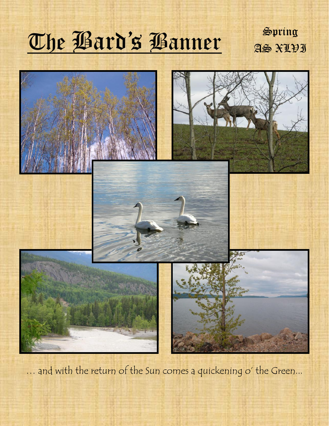# The Bard's Banner Spring

AS XLVI



... and with the return of the Sun comes a quickening o' the Green...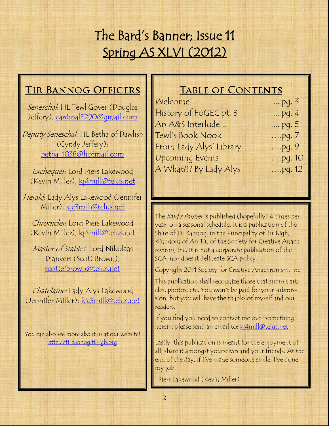## The Bard's Banner; Issue 11 Spring AS XLVI (2012)

## **TIR BANNOG OFFICERS**

Seneschal: HL Tewl Gover (Douglas Jeffery); [cardinal5290@gmail.com](mailto:mailto:cardinal5290@gmail.com)

Deputy Seneschal: HL Betha of Dawlish (Cyndy Jeffery); [betha\\_1838@hotmail.com](mailto:mailto:betha_1838@hotmail.com)

Exchequer: Lord Piers Lakewood (Kevin Miller); [kj4mill@telus.net](mailto:mailto:kj4mill@telus.net)

Herald: Lady Alys Lakewood (Jennifer Miller); [kjc3mill@telus.net](mailto:kjc3mill@telus.net)

Chronicler: Lord Piers Lakewood (Kevin Miller); [kj4mill@telus.net](mailto:mailto:kj4mill@telus.net)

Master of Stables: Lord Nikolaas D'anvers (Scott Brown); [scottejbrown@telus.net](mailto:mailto:scottejbrown@telus.net)

Chatelaine: Lady Alys Lakewood (Jennifer Miller); [kjc3mill@telus.net](mailto:mailto:kjc3mill@telus.net)

You can also see more about us at our website! <http://tirbannog.tirrigh.org>

## **TABLE OF CONTENTS**

| Welcome!                | pg. 3     |
|-------------------------|-----------|
| History of FoGEC pt. 3  | pg. 4     |
| An A&S Interlude        | pg. 5     |
| Tewl's Book Nook        | $,$ pg. 7 |
| From Lady Alys' Library | $$ pq. 9  |
| <b>Upcoming Events</b>  | $pq.10$   |
| A What?!? By Lady Alys  | $pq. 12$  |
|                         |           |

The Bard's Banner is published (hopefully) 4 times per year, on a seasonal schedule. It is a publication of the Shire of Tir Bannog, in the Principality of Tir Righ, Kingdom of An Tir, of the Society for Creative Anachronism, Inc. It is not a corporate publication of the SCA, nor does it delineate SCA policy.

Copyright 2011 Society for Creative Anachronism, Inc

This publication shall recognize those that submit articles, photos, etc. You won't be paid for your submission, but you will have the thanks of myself and our readers.

If you find you need to contact me over something herein, please send an email to: [kj4mill@telus.net](mailto:kj2mill@lakescom.net)

Lastly, this publication is meant for the enjoyment of all; share it amongst yourselves and your friends. At the end of the day, if I've made someone smile, I've done my job.

-Piers Lakewood (Kevin Miller)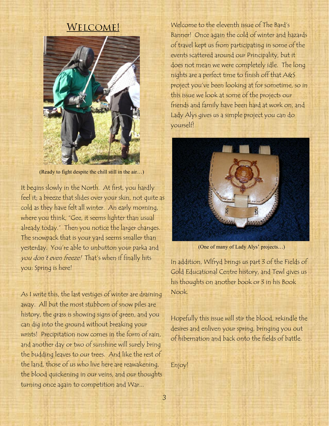## **WELCOME!**



(Ready to fight despite the chill still in the air…)

It begins slowly in the North. At first, you hardly feel it; a breeze that slides over your skin, not quite as cold as they have felt all winter. An early morning, where you think, "Gee, it seems lighter than usual already today." Then you notice the larger changes. The snowpack that is your yard seems smaller than yesterday. You're able to unbutton your parka and you don't even freeze! That's when if finally hits you: Spring is here!

As I write this, the last vestiges of winter are draining away. All but the most stubborn of snow piles are history, the grass is showing signs of green, and you can dig into the ground without breaking your wrists! Precipitation now comes in the form of rain, and another day or two of sunshine will surely bring the budding leaves to our trees. And like the rest of the land, those of us who live here are reawakening, the blood quickening in our veins, and our thoughts turning once again to competition and War...

Welcome to the eleventh issue of The Bard's Banner! Once again the cold of winter and hazards of travel kept us from participating in some of the events scattered around our Principality, but it does not mean we were completely idle. The long nights are a perfect time to finish off that A&S project you've been looking at for sometime, so in this issue we look at some of the projects our friends and family have been hard at work on, and Lady Alys gives us a simple project you can do yourself!



(One of many of Lady Alys' projects…)

In addition, Wlfryd brings us part 3 of the Fields of Gold Educational Centre history, and Tewl gives us his thoughts on another book or 3 in his Book Nook.

Hopefully this issue will stir the blood, rekindle the desires and enliven your spring, bringing you out of hibernation and back onto the fields of battle.

Enjoy!

3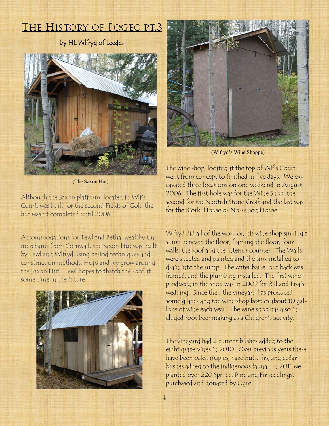## THE HISTORY OF FOGEC PT.3

## by HL Wlfryd of Leedes



(The Saxon Hut)

Although the Saxon platform, located in Wlf's Court, was built for the second Fields of Gold the hut wasn't completed until 2006.

Accommodations for Tewl and Betha, wealthy tin merchants from Cornwall, the Saxon Hut was built by Tewl and Wlfryd using period techniques and construction methods. Hops and ivy grow around the Saxon Hut. Tewl hopes to thatch the roof at some time in the future.





(Wlfryd's Wine Shoppe)

The wine shop, located at the top of Wlf's Court, went from concept to finished in five days. We excavated three locations on one weekend in August 2006. The first hole was for the Wine Shop, the second for the Scottish Stone Croft and the last was for the Bjorki House or Norse Sod House.

Wlfryd did all of the work on his wine shop sinking a sump beneath the floor, framing the floor, four walls, the roof and the interior counter. The Walls were sheeted and painted and the sink installed to drain into the sump. The water barrel out back was framed, and the plumbing installed. The first wine produced in the shop was in 2009 for Bill and Lisa's wedding. Since then the vineyard has produced some grapes and the wine shop bottles about 10 gallons of wine each year. The wine shop has also included root beer making as a Children's activity.

The vineyard had 2 current bushes added to the eight grape vines in 2010. Over previous years there have been oaks, maples, hazelnuts, firs, and cedar bushes added to the indigenous fauna. In 2011 we planted over 220 Spruce, Pine and Fir seedlings, purchased and donated by Ogre.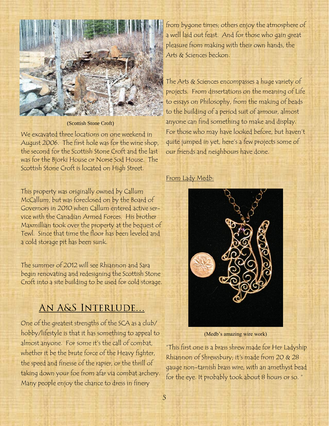

(Scottish Stone Croft)

We excavated three locations on one weekend in August 2006. The first hole was for the wine shop, the second for the Scottish Stone Croft and the last was for the Bjorki House or Norse Sod House. The Scottish Stone Croft is located on High Street.

This property was originally owned by Callum McCallum, but was foreclosed on by the Board of Governors in 2010 when Callum entered active service with the Canadian Armed Forces. His brother Maxmillian took over the property at the bequest of Tewl. Since that time the floor has been leveled and a cold storage pit has been sunk.

The summer of 2012 will see Rhiannon and Sara begin renovating and redesigning the Scottish Stone Croft into a site building to be used for cold storage.

## AN A&S INTERLUDE...

One of the greatest strengths of the SCA as a club/ hobby/lifestyle is that it has something to appeal to almost anyone. For some it's the call of combat, whether it be the brute force of the Heavy fighter, the speed and finesse of the rapier, or the thrill of taking down your foe from afar via combat archery. Many people enjoy the chance to dress in finery

from bygone times; others enjoy the atmosphere of a well laid out feast. And for those who gain great pleasure from making with their own hands, the Arts & Sciences beckon.

The Arts & Sciences encompasses a huge variety of projects. From dissertations on the meaning of Life to essays on Philosophy, from the making of beads to the building of a period suit of armour, almost anyone can find something to make and display. For those who may have looked before, but haven't quite jumped in yet, here's a few projects some of our friends and neighbours have done.

## From Lady Medb:



(Medb's amazing wire work)

―This first one is a brass shrew made for Her Ladyship Rhiannon of Shrewsbury; it's made from 20 & 28 gauge non-tarnish brass wire, with an amethyst bead for the eye. It probably took about 8 hours or so."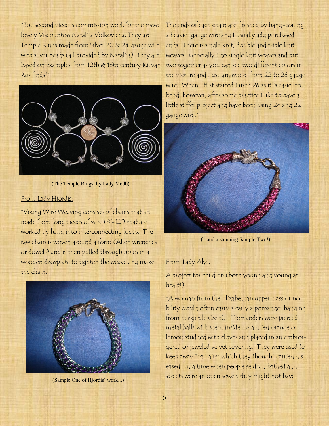"The second piece is commission work for the most lovely Viscountess Natal'ia Volkovicha. They are Temple Rings made from Silver 20 & 24 gauge wire, with silver beads (all provided by Natal'ia). They are based on examples from 12th & 13th century Kievan Rus finds!―



(The Temple Rings, by Lady Medb)

#### From Lady Hjordis:

"Viking Wire Weaving consists of chains that are made from long pieces of wire (8'-12') that are worked by hand into interconnecting loops. The raw chain is woven around a form (Allen wrenches or dowels) and is then pulled through holes in a wooden drawplate to tighten the weave and make the chain.



(Sample One of Hjordis' work...)

The ends of each chain are finished by hand-coiling a heavier gauge wire and I usually add purchased ends. There is single knit, double and triple knit weaves. Generally I do single knit weaves and put two together as you can see two different colors in the picture and I use anywhere from 22 to 26 gauge wire. When I first started I used 26 as it is easier to bend; however, after some practice I like to have a little stiffer project and have been using 24 and 22 gauge wire."



(...and a stunning Sample Two!)

## From Lady Alys:

A project for children (both young and young at heart!)

"A woman from the Elizabethan upper class or nobility would often carry a carry a pomander hanging from her girdle (belt). "Pomanders were pierced metal balls with scent inside, or a dried orange or lemon studded with cloves and placed in an embroidered or jeweled velvet covering. They were used to keep away "bad airs" which they thought carried diseased. In a time when people seldom bathed and streets were an open sewer, they might not have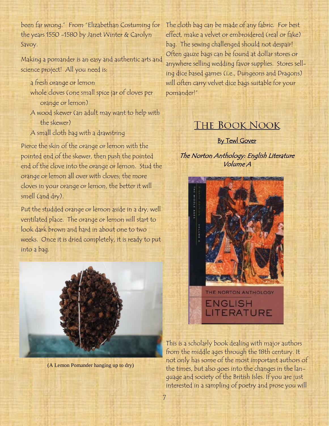been far wrong." From "Elizabethan Costuming for the years 1550 -1580 by Janet Winter & Carolyn Savoy.

Making a pomander is an easy and authentic arts and science project! All you need is:

- a fresh orange or lemon
- whole cloves (one small spice jar of cloves per orange or lemon)
- A wood skewer (an adult may want to help with the skewer)
- A small cloth bag with a drawstring

Pierce the skin of the orange or lemon with the pointed end of the skewer, then push the pointed end of the clove into the orange or lemon. Stud the orange or lemon all over with cloves; the more cloves in your orange or lemon, the better it will smell (and dry).

Put the studded orange or lemon aside in a dry, well ventilated place. The orange or lemon will start to look dark brown and hard in about one to two weeks. Once it is dried completely, it is ready to put into a bag.



(A Lemon Pomander hanging up to dry)

The cloth bag can be made of any fabric. For best effect, make a velvet or embroidered (real or fake) bag. The sewing challenged should not despair! Often gauze bags can be found at dollar stores or anywhere selling wedding favor supplies. Stores selling dice based games (i.e., Dungeons and Dragons) will often carry velvet dice bags suitable for your pomander!‖

## **THE BOOK NOOK**

**By Tewl Gover** 

The Norton Anthology: English Literature Volume A



This is a scholarly book dealing with major authors from the middle ages through the 18th century. It not only has some of the most important authors of the times, but also goes into the changes in the language and society of the British Isles. If you are just interested in a sampling of poetry and prose you will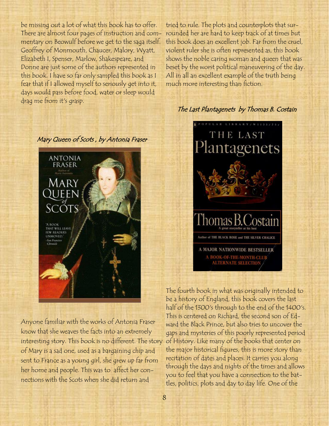be missing out a lot of what this book has to offer. There are almost four pages of instruction and commentary on Beowulf before we get to the saga itself. Geoffrey of Monmouth, Chaucer, Malory, Wyatt, Elizabeth I, Spenser, Marlow, Shakespeare, and Donne are just some of the authors represented in this book. I have so far only sampled this book as I fear that if I allowed myself to seriously get into it, days would pass before food, water or sleep would drag me from it's grasp.



Anyone familiar with the works of Antonia Fraser know that she weaves the facts into an extremely interesting story. This book is no different. The story of Mary is a sad one, used as a bargaining chip and sent to France as a young girl, she grew up far from her home and people. This was to affect her connections with the Scots when she did return and

tried to rule. The plots and counterplots that surrounded her are hard to keep track of at times but this book does an excellent job. Far from the cruel, violent ruler she is often represented as, this book shows the noble caring woman and queen that was beset by the worst political maneuvering of the day. All in all an excellent example of the truth being much more interesting than fiction.

## The Last Plantagenets by Thomas B. Costain



The fourth book in what was originally intended to be a history of England, this book covers the last half of the 1300's through to the end of the 1400's. This is centered on Richard, the second son of Edward the Black Prince, but also tries to uncover the gaps and mysteries of this poorly represented period of History. Like many of the books that center on the major historical figures, this is more story than recitation of dates and places. It carries you along through the days and nights of the times and allows you to feel that you have a connection to the battles, politics, plots and day to day life. One of the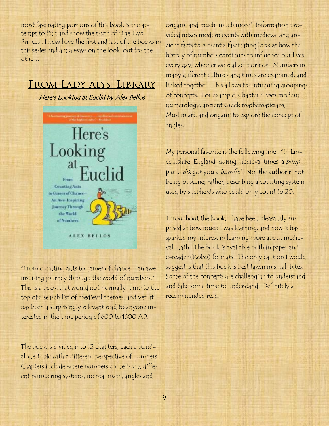most fascinating portions of this book is the attempt to find and show the truth of 'The Two Princes'. I now have the first and last of the books in this series and am always on the look-out for the others.

## FROM LADY ALYS' LIBRARY

Here's Looking at Euclid by Alex Bellos



―From counting ants to games of chance – an awe inspiring journey through the world of numbers." This is a book that would not normally jump to the top of a search list of medieval themes, and yet, it has been a surprisingly relevant read to anyone interested in the time period of 600 to 1600 AD.

The book is divided into 12 chapters, each a standalone topic with a different perspective of numbers. Chapters include where numbers come from, different numbering systems, mental math, angles and

origami and much, much more! Information provided mixes modern events with medieval and ancient facts to present a fascinating look at how the history of numbers continues to influence our lives every day, whether we realize it or not. Numbers in many different cultures and times are examined, and linked together. This allows for intriguing groupings of concepts. For example, Chapter 3 uses modern numerology, ancient Greek mathematicians, Muslim art, and origami to explore the concept of angles.

My personal favorite is the following line: "In Lincolnshire, England, during medieval times, a pimp plus a *dik* got you a *bumfit.*" No, the author is not being obscene; rather, describing a counting system used by shepherds who could only count to 20.

Throughout the book, I have been pleasantly surprised at how much I was learning, and how it has sparked my interest in learning more about medieval math. The book is available both in paper and e-reader (Kobo) formats. The only caution I would suggest is that this book is best taken in small bites. Some of the concepts are challenging to understand and take some time to understand. Definitely a recommended read!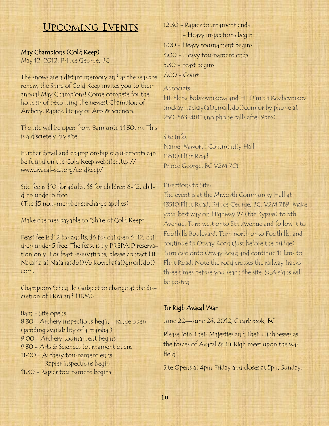## **UPCOMING EVENTS**

## May Champions (Cold Keep)

May 12, 2012, Prince George, BC

The snows are a distant memory and as the seasons renew, the Shire of Cold Keep invites you to their annual May Champions! Come compete for the honour of becoming the newest Champion of Archery, Rapier, Heavy or Arts & Sciences.

The site will be open from 8am until 11:30pm. This is a discretely dry site.

Further detail and championship requirements can be found on the Cold Keep website:http:// www.avacal-sca.org/coldkeep/

Site fee is \$10 for adults, \$6 for children 6-12, children under 5 free: (The \$5 non-member surcharge applies)

Make cheques payable to "Shire of Cold Keep".

Feast fee is \$12 for adults, \$6 for children 6-12, children under 5 free. The feast is by PREPAID reservation only. For feast reservations, please contact HE Natal'ia at Natalia(dot)Volkovicha(at)gmail(dot) com.

Champions Schedule (subject to change at the discretion of TRM and HRM):

8am - Site opens 8:30 - Archery inspections begin - range open (pending availability of a marshal) 9:00 - Archery tournament begins 9:30 - Arts & Sciences tournament opens 11:00 - Archery tournament ends - Rapier inspections begin 11:30 - Rapier tournament begins

12:30 - Rapier tournament ends - Heavy inspections begin 1:00 - Heavy tournament begins 3:00 - Heavy tournament ends 5:30 - Feast begins 7:00 - Court

#### Autocrats:

HL Elena Bobrovnikova and HL D'mitri Kozhevnikov smckaymackay(at)gmail(dot)com or by phone at 250-563-4811 (no phone calls after 9pm).

#### Site Info:

Name: Miworth Community Hall 13510 Flint Road Prince George, BC V2M 7C1

#### Directions to Site:

The event is at the Miworth Community Hall at 13510 Flint Road, Prince George, BC, V2M 7B9. Make your best way on Highway 97 (the Bypass) to 5th Avenue. Turn west onto 5th Avenue and follow it to Foothills Boulevard. Turn north onto Foothills, and continue to Otway Road (just before the bridge). Turn east onto Otway Road and continue 11 kms to Flint Road. Note the road crosses the railway tracks three times before you reach the site. SCA signs will be posted.

## Tir Righ Avacal War

June 22—June 24, 2012, Clearbrook, BC

Please join Their Majesties and Their Highnesses as the forces of Avacal & Tir Righ meet upon the war field!

Site Opens at 4pm Friday and closes at 5pm Sunday.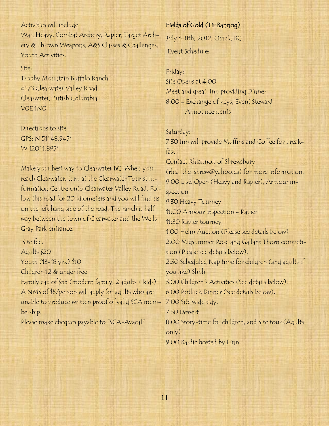## Activities will include:

War: Heavy, Combat Archery, Rapier, Target Archery & Thrown Weapons, A&S Classes & Challenges, Youth Activities.

#### Site:

Trophy Mountain Buffalo Ranch 4373 Clearwater Valley Road, Clearwater, British Columbia V0E 1N0

Directions to site - GPS: N 51° 48.945' W 120° 1.895'

Make your best way to Clearwater BC. When you reach Clearwater, turn at the Clearwater Tourist Information Centre onto Clearwater Valley Road. Follow this road for 20 kilometers and you will find us on the left hand side of the road. The ranch is half way between the town of Clearwater and the Wells Gray Park entrance.

Site fee: Adults \$20 Youth (13-18 yrs.) \$10 Children 12 & under free Family cap of \$55 (modern family, 2 adults + kids) A NMS of \$5/person will apply for adults who are unable to produce written proof of valid SCA mem-

bership.

Please make cheques payable to "SCA-Avacal"

## Fields of Gold (Tir Bannog)

July 6-8th, 2012, Quick, BC

Event Schedule:

#### Friday:

Site Opens at 4:00 Meet and great, Inn providing Dinner 8:00 - Exchange of keys, Event Steward Announcements

#### Saturday:

7:30 Inn will provide Muffins and Coffee for breakfast Contact Rhiannon of Shrewsbury (rhia\_the\_shrew@yahoo.ca) for more information. 9:00 Lists Open (Heavy and Rapier), Armour inspection 9:30 Heavy Tourney 11:00 Armour inspection - Rapier 11:30 Rapier tourney 1:00 Helm Auction (Please see details below) 2:00 Midsummer Rose and Gallant Thorn competition (Please see details below). 2:30 Scheduled Nap time for children (and adults if you like) Shhh. 3:00 Children's Activities (See details below). 6:00 Potluck Dinner (See details below). 7:00 Site wide tidy. 7:30 Dessert 8:00 Story-time for children, and Site tour (Adults only)

9:00 Bardic hosted by Finn